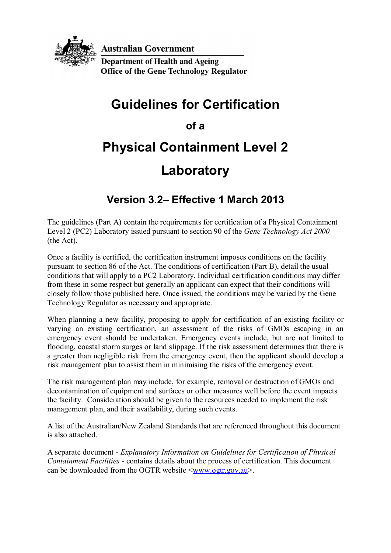

**Australian Government** 

**Department of Health and Ageing Office of the Gene Technology Regulator** 

## **Guidelines for Certification**

**of a** 

# **Physical Containment Level 2**

## **Laboratory**

### **Version 3.2– Effective 1 March 2013**

The guidelines (Part A) contain the requirements for certification of a Physical Containment Level 2 (PC2) Laboratory issued pursuant to section 90 of the *Gene Technology Act 2000* (the Act).

Once a facility is certified, the certification instrument imposes conditions on the facility pursuant to section 86 of the Act. The conditions of certification (Part B), detail the usual conditions that will apply to a PC2 Laboratory. Individual certification conditions may differ from these in some respect but generally an applicant can expect that their conditions will closely follow those published here. Once issued, the conditions may be varied by the Gene Technology Regulator as necessary and appropriate.

When planning a new facility, proposing to apply for certification of an existing facility or varying an existing certification, an assessment of the risks of GMOs escaping in an emergency event should be undertaken. Emergency events include, but are not limited to flooding, coastal storm surges or land slippage. If the risk assessment determines that there is a greater than negligible risk from the emergency event, then the applicant should develop a risk management plan to assist them in minimising the risks of the emergency event.

The risk management plan may include, for example, removal or destruction of GMOs and decontamination of equipment and surfaces or other measures well before the event impacts the facility. Consideration should be given to the resources needed to implement the risk management plan, and their availability, during such events.

A list of the Australian/New Zealand Standards that are referenced throughout this document is also attached.

A separate document - *Explanatory Information on Guidelines for Certification of Physical Containment Facilities* - contains details about the process of certification. This document can be downloaded from the OGTR website  $\langle$ www.ogtr.gov.au>.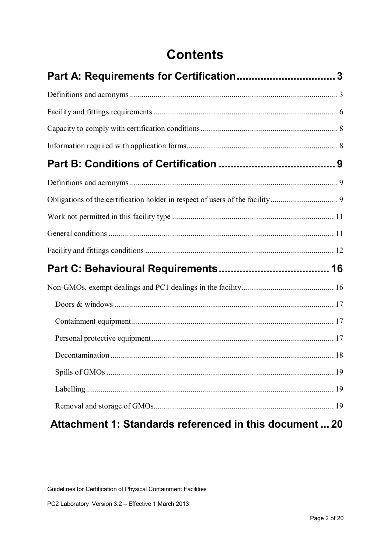## **Contents**

| Attachment 1: Standards referenced in this document  20 |  |
|---------------------------------------------------------|--|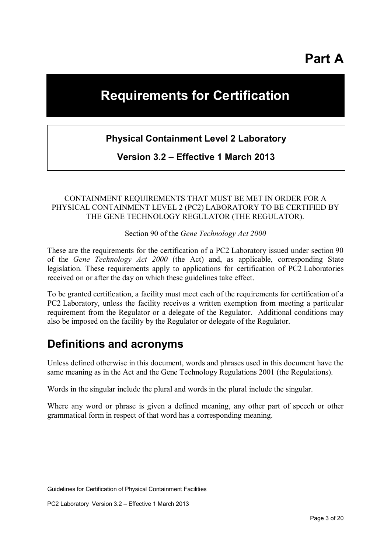**Part A** 

## **Requirements for Certification**

#### **Physical Containment Level 2 Laboratory**

**Version 3.2 – Effective 1 March 2013**

#### CONTAINMENT REQUIREMENTS THAT MUST BE MET IN ORDER FOR A PHYSICAL CONTAINMENT LEVEL 2 (PC2) LABORATORY TO BE CERTIFIED BY THE GENE TECHNOLOGY REGULATOR (THE REGULATOR).

Section 90 of the *Gene Technology Act 2000*

These are the requirements for the certification of a PC2 Laboratory issued under section 90 of the *Gene Technology Act 2000* (the Act) and, as applicable, corresponding State legislation. These requirements apply to applications for certification of PC2 Laboratories received on or after the day on which these guidelines take effect.

To be granted certification, a facility must meet each of the requirements for certification of a PC2 Laboratory, unless the facility receives a written exemption from meeting a particular requirement from the Regulator or a delegate of the Regulator. Additional conditions may also be imposed on the facility by the Regulator or delegate of the Regulator.

### **Definitions and acronyms**

Unless defined otherwise in this document, words and phrases used in this document have the same meaning as in the Act and the Gene Technology Regulations 2001 (the Regulations).

Words in the singular include the plural and words in the plural include the singular.

Where any word or phrase is given a defined meaning, any other part of speech or other grammatical form in respect of that word has a corresponding meaning.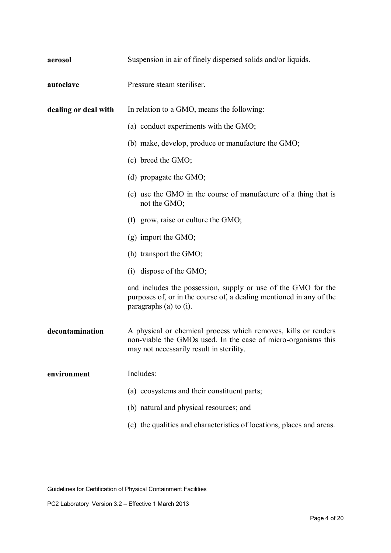| aerosol              | Suspension in air of finely dispersed solids and/or liquids.                                                                                                                |
|----------------------|-----------------------------------------------------------------------------------------------------------------------------------------------------------------------------|
| autoclave            | Pressure steam steriliser.                                                                                                                                                  |
| dealing or deal with | In relation to a GMO, means the following:                                                                                                                                  |
|                      | (a) conduct experiments with the GMO;                                                                                                                                       |
|                      | (b) make, develop, produce or manufacture the GMO;                                                                                                                          |
|                      | (c) breed the GMO;                                                                                                                                                          |
|                      | (d) propagate the GMO;                                                                                                                                                      |
|                      | (e) use the GMO in the course of manufacture of a thing that is<br>not the GMO;                                                                                             |
|                      | (f) grow, raise or culture the $GMO$ ;                                                                                                                                      |
|                      | $(g)$ import the GMO;                                                                                                                                                       |
|                      | (h) transport the GMO;                                                                                                                                                      |
|                      | $(i)$ dispose of the GMO;                                                                                                                                                   |
|                      | and includes the possession, supply or use of the GMO for the<br>purposes of, or in the course of, a dealing mentioned in any of the<br>paragraphs $(a)$ to $(i)$ .         |
| decontamination      | A physical or chemical process which removes, kills or renders<br>non-viable the GMOs used. In the case of micro-organisms this<br>may not necessarily result in sterility. |
| environment          | Includes:                                                                                                                                                                   |
|                      | (a) ecosystems and their constituent parts;                                                                                                                                 |
|                      | (b) natural and physical resources; and                                                                                                                                     |
|                      | (c) the qualities and characteristics of locations, places and areas.                                                                                                       |

Guidelines for Certification of Physical Containment Facilities

PC2 Laboratory Version 3.2 – Effective 1 March 2013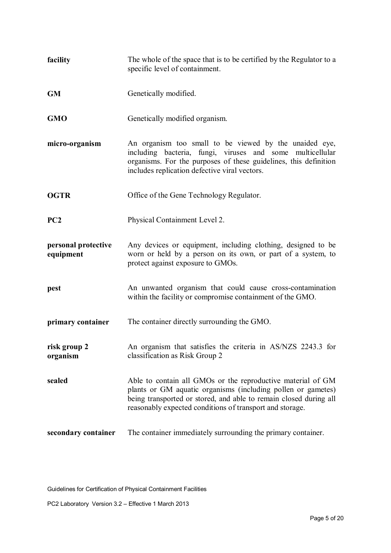| facility                         | The whole of the space that is to be certified by the Regulator to a<br>specific level of containment.                                                                                                                                                       |
|----------------------------------|--------------------------------------------------------------------------------------------------------------------------------------------------------------------------------------------------------------------------------------------------------------|
| <b>GM</b>                        | Genetically modified.                                                                                                                                                                                                                                        |
| <b>GMO</b>                       | Genetically modified organism.                                                                                                                                                                                                                               |
| micro-organism                   | An organism too small to be viewed by the unaided eye,<br>including bacteria, fungi, viruses and some<br>multicellular<br>organisms. For the purposes of these guidelines, this definition<br>includes replication defective viral vectors.                  |
| <b>OGTR</b>                      | Office of the Gene Technology Regulator.                                                                                                                                                                                                                     |
| PC <sub>2</sub>                  | Physical Containment Level 2.                                                                                                                                                                                                                                |
| personal protective<br>equipment | Any devices or equipment, including clothing, designed to be<br>worn or held by a person on its own, or part of a system, to<br>protect against exposure to GMOs.                                                                                            |
| pest                             | An unwanted organism that could cause cross-contamination<br>within the facility or compromise containment of the GMO.                                                                                                                                       |
| primary container                | The container directly surrounding the GMO.                                                                                                                                                                                                                  |
| risk group 2<br>organism         | An organism that satisfies the criteria in AS/NZS 2243.3 for<br>classification as Risk Group 2                                                                                                                                                               |
| sealed                           | Able to contain all GMOs or the reproductive material of GM<br>plants or GM aquatic organisms (including pollen or gametes)<br>being transported or stored, and able to remain closed during all<br>reasonably expected conditions of transport and storage. |
| secondary container              | The container immediately surrounding the primary container.                                                                                                                                                                                                 |

Guidelines for Certification of Physical Containment Facilities

PC2 Laboratory Version 3.2 – Effective 1 March 2013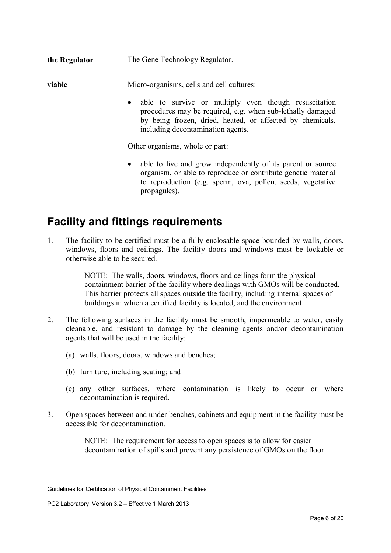**the Regulator** The Gene Technology Regulator.

**viable** Micro-organisms, cells and cell cultures:

• able to survive or multiply even though resuscitation procedures may be required, e.g. when sub-lethally damaged by being frozen, dried, heated, or affected by chemicals, including decontamination agents.

Other organisms, whole or part:

• able to live and grow independently of its parent or source organism, or able to reproduce or contribute genetic material to reproduction (e.g. sperm, ova, pollen, seeds, vegetative propagules).

### **Facility and fittings requirements**

1. The facility to be certified must be a fully enclosable space bounded by walls, doors, windows, floors and ceilings. The facility doors and windows must be lockable or otherwise able to be secured.

> NOTE: The walls, doors, windows, floors and ceilings form the physical containment barrier of the facility where dealings with GMOs will be conducted. This barrier protects all spaces outside the facility, including internal spaces of buildings in which a certified facility is located, and the environment.

- 2. The following surfaces in the facility must be smooth, impermeable to water, easily cleanable, and resistant to damage by the cleaning agents and/or decontamination agents that will be used in the facility:
	- (a) walls, floors, doors, windows and benches;
	- (b) furniture, including seating; and
	- (c) any other surfaces, where contamination is likely to occur or where decontamination is required.
- 3. Open spaces between and under benches, cabinets and equipment in the facility must be accessible for decontamination.

NOTE: The requirement for access to open spaces is to allow for easier decontamination of spills and prevent any persistence of GMOs on the floor.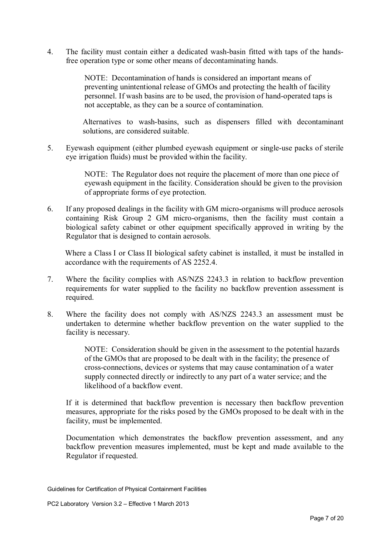4. The facility must contain either a dedicated wash-basin fitted with taps of the handsfree operation type or some other means of decontaminating hands.

> NOTE: Decontamination of hands is considered an important means of preventing unintentional release of GMOs and protecting the health of facility personnel. If wash basins are to be used, the provision of hand-operated taps is not acceptable, as they can be a source of contamination.

Alternatives to wash-basins, such as dispensers filled with decontaminant solutions, are considered suitable.

5. Eyewash equipment (either plumbed eyewash equipment or single-use packs of sterile eye irrigation fluids) must be provided within the facility.

> NOTE: The Regulator does not require the placement of more than one piece of eyewash equipment in the facility. Consideration should be given to the provision of appropriate forms of eye protection.

6. If any proposed dealings in the facility with GM micro-organisms will produce aerosols containing Risk Group 2 GM micro-organisms, then the facility must contain a biological safety cabinet or other equipment specifically approved in writing by the Regulator that is designed to contain aerosols.

Where a Class I or Class II biological safety cabinet is installed, it must be installed in accordance with the requirements of AS 2252.4.

- 7. Where the facility complies with AS/NZS 2243.3 in relation to backflow prevention requirements for water supplied to the facility no backflow prevention assessment is required.
- 8. Where the facility does not comply with AS/NZS 2243.3 an assessment must be undertaken to determine whether backflow prevention on the water supplied to the facility is necessary.

NOTE: Consideration should be given in the assessment to the potential hazards of the GMOs that are proposed to be dealt with in the facility; the presence of cross-connections, devices or systems that may cause contamination of a water supply connected directly or indirectly to any part of a water service; and the likelihood of a backflow event.

If it is determined that backflow prevention is necessary then backflow prevention measures, appropriate for the risks posed by the GMOs proposed to be dealt with in the facility, must be implemented.

Documentation which demonstrates the backflow prevention assessment, and any backflow prevention measures implemented, must be kept and made available to the Regulator if requested.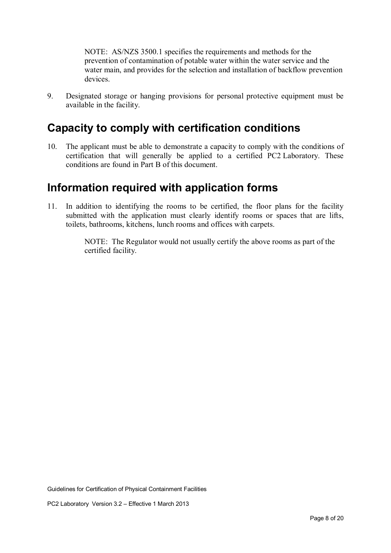NOTE: AS/NZS 3500.1 specifies the requirements and methods for the prevention of contamination of potable water within the water service and the water main, and provides for the selection and installation of backflow prevention devices.

9. Designated storage or hanging provisions for personal protective equipment must be available in the facility.

### **Capacity to comply with certification conditions**

10. The applicant must be able to demonstrate a capacity to comply with the conditions of certification that will generally be applied to a certified PC2 Laboratory. These conditions are found in Part B of this document.

### **Information required with application forms**

11. In addition to identifying the rooms to be certified, the floor plans for the facility submitted with the application must clearly identify rooms or spaces that are lifts, toilets, bathrooms, kitchens, lunch rooms and offices with carpets.

> NOTE: The Regulator would not usually certify the above rooms as part of the certified facility.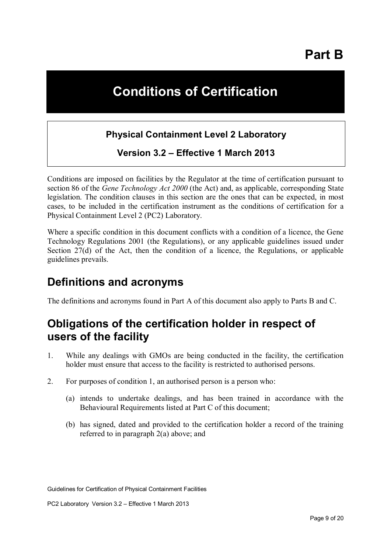**Part B** 

## **Conditions of Certification**

#### **Physical Containment Level 2 Laboratory**

**Version 3.2 – Effective 1 March 2013** 

Conditions are imposed on facilities by the Regulator at the time of certification pursuant to section 86 of the *Gene Technology Act 2000* (the Act) and, as applicable, corresponding State legislation. The condition clauses in this section are the ones that can be expected, in most cases, to be included in the certification instrument as the conditions of certification for a Physical Containment Level 2 (PC2) Laboratory.

Where a specific condition in this document conflicts with a condition of a licence, the Gene Technology Regulations 2001 (the Regulations), or any applicable guidelines issued under Section 27(d) of the Act, then the condition of a licence, the Regulations, or applicable guidelines prevails.

### **Definitions and acronyms**

The definitions and acronyms found in Part A of this document also apply to Parts B and C.

### **Obligations of the certification holder in respect of users of the facility**

- 1. While any dealings with GMOs are being conducted in the facility, the certification holder must ensure that access to the facility is restricted to authorised persons.
- 2. For purposes of condition 1, an authorised person is a person who:
	- (a) intends to undertake dealings, and has been trained in accordance with the Behavioural Requirements listed at Part C of this document;
	- (b) has signed, dated and provided to the certification holder a record of the training referred to in paragraph 2(a) above; and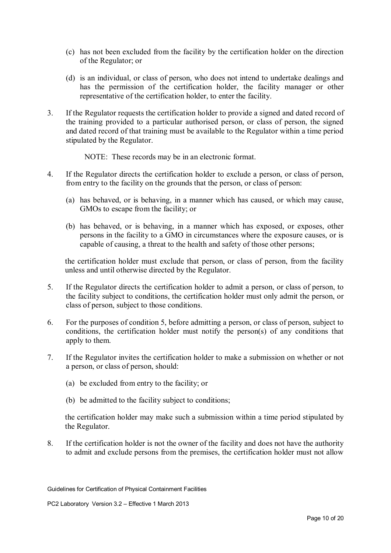- (c) has not been excluded from the facility by the certification holder on the direction of the Regulator; or
- (d) is an individual, or class of person, who does not intend to undertake dealings and has the permission of the certification holder, the facility manager or other representative of the certification holder, to enter the facility.
- 3. If the Regulator requests the certification holder to provide a signed and dated record of the training provided to a particular authorised person, or class of person, the signed and dated record of that training must be available to the Regulator within a time period stipulated by the Regulator.
	- NOTE: These records may be in an electronic format.
- 4. If the Regulator directs the certification holder to exclude a person, or class of person, from entry to the facility on the grounds that the person, or class of person:
	- (a) has behaved, or is behaving, in a manner which has caused, or which may cause, GMOs to escape from the facility; or
	- (b) has behaved, or is behaving, in a manner which has exposed, or exposes, other persons in the facility to a GMO in circumstances where the exposure causes, or is capable of causing, a threat to the health and safety of those other persons;

the certification holder must exclude that person, or class of person, from the facility unless and until otherwise directed by the Regulator.

- 5. If the Regulator directs the certification holder to admit a person, or class of person, to the facility subject to conditions, the certification holder must only admit the person, or class of person, subject to those conditions.
- 6. For the purposes of condition 5, before admitting a person, or class of person, subject to conditions, the certification holder must notify the person(s) of any conditions that apply to them.
- 7. If the Regulator invites the certification holder to make a submission on whether or not a person, or class of person, should:
	- (a) be excluded from entry to the facility; or
	- (b) be admitted to the facility subject to conditions;

the certification holder may make such a submission within a time period stipulated by the Regulator.

8. If the certification holder is not the owner of the facility and does not have the authority to admit and exclude persons from the premises, the certification holder must not allow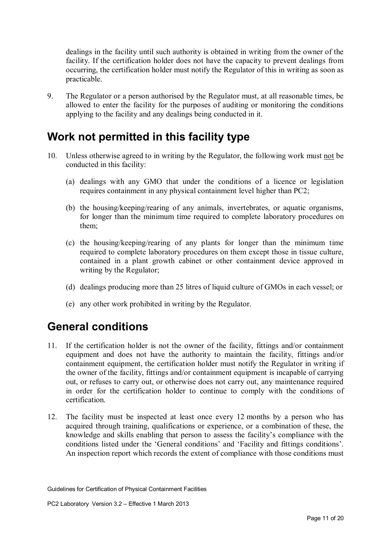dealings in the facility until such authority is obtained in writing from the owner of the facility. If the certification holder does not have the capacity to prevent dealings from occurring, the certification holder must notify the Regulator of this in writing as soon as practicable.

9. The Regulator or a person authorised by the Regulator must, at all reasonable times, be allowed to enter the facility for the purposes of auditing or monitoring the conditions applying to the facility and any dealings being conducted in it.

### **Work not permitted in this facility type**

- 10. Unless otherwise agreed to in writing by the Regulator, the following work must not be conducted in this facility:
	- (a) dealings with any GMO that under the conditions of a licence or legislation requires containment in any physical containment level higher than PC2;
	- (b) the housing/keeping/rearing of any animals, invertebrates, or aquatic organisms, for longer than the minimum time required to complete laboratory procedures on them;
	- (c) the housing/keeping/rearing of any plants for longer than the minimum time required to complete laboratory procedures on them except those in tissue culture, contained in a plant growth cabinet or other containment device approved in writing by the Regulator;
	- (d) dealings producing more than 25 litres of liquid culture of GMOs in each vessel; or
	- (e) any other work prohibited in writing by the Regulator.

### **General conditions**

- 11. If the certification holder is not the owner of the facility, fittings and/or containment equipment and does not have the authority to maintain the facility, fittings and/or containment equipment, the certification holder must notify the Regulator in writing if the owner of the facility, fittings and/or containment equipment is incapable of carrying out, or refuses to carry out, or otherwise does not carry out, any maintenance required in order for the certification holder to continue to comply with the conditions of certification.
- 12. The facility must be inspected at least once every 12 months by a person who has acquired through training, qualifications or experience, or a combination of these, the knowledge and skills enabling that person to assess the facility's compliance with the conditions listed under the 'General conditions' and 'Facility and fittings conditions'. An inspection report which records the extent of compliance with those conditions must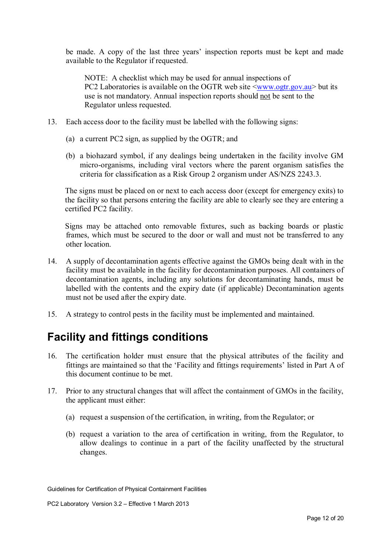be made. A copy of the last three years' inspection reports must be kept and made available to the Regulator if requested.

NOTE: A checklist which may be used for annual inspections of PC2 Laboratories is available on the OGTR web site  $\langle$ www.ogtr.gov.au> but its use is not mandatory. Annual inspection reports should not be sent to the Regulator unless requested.

- 13. Each access door to the facility must be labelled with the following signs:
	- (a) a current PC2 sign, as supplied by the OGTR; and
	- (b) a biohazard symbol, if any dealings being undertaken in the facility involve GM micro-organisms, including viral vectors where the parent organism satisfies the criteria for classification as a Risk Group 2 organism under AS/NZS 2243.3.

The signs must be placed on or next to each access door (except for emergency exits) to the facility so that persons entering the facility are able to clearly see they are entering a certified PC2 facility.

Signs may be attached onto removable fixtures, such as backing boards or plastic frames, which must be secured to the door or wall and must not be transferred to any other location.

- 14. A supply of decontamination agents effective against the GMOs being dealt with in the facility must be available in the facility for decontamination purposes. All containers of decontamination agents, including any solutions for decontaminating hands, must be labelled with the contents and the expiry date (if applicable) Decontamination agents must not be used after the expiry date.
- 15. A strategy to control pests in the facility must be implemented and maintained.

### **Facility and fittings conditions**

- 16. The certification holder must ensure that the physical attributes of the facility and fittings are maintained so that the 'Facility and fittings requirements' listed in Part A of this document continue to be met.
- 17. Prior to any structural changes that will affect the containment of GMOs in the facility, the applicant must either:
	- (a) request a suspension of the certification, in writing, from the Regulator; or
	- (b) request a variation to the area of certification in writing, from the Regulator, to allow dealings to continue in a part of the facility unaffected by the structural changes.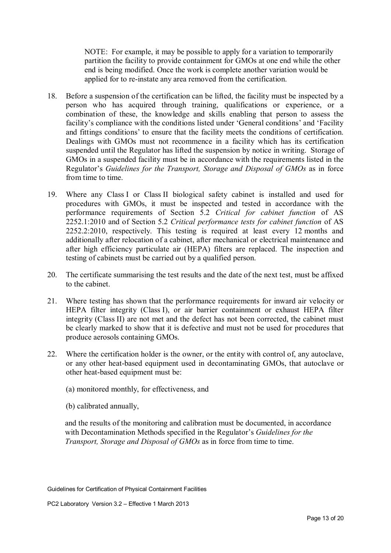NOTE: For example, it may be possible to apply for a variation to temporarily partition the facility to provide containment for GMOs at one end while the other end is being modified. Once the work is complete another variation would be applied for to re-instate any area removed from the certification.

- 18. Before a suspension of the certification can be lifted, the facility must be inspected by a person who has acquired through training, qualifications or experience, or a combination of these, the knowledge and skills enabling that person to assess the facility's compliance with the conditions listed under 'General conditions' and 'Facility and fittings conditions' to ensure that the facility meets the conditions of certification. Dealings with GMOs must not recommence in a facility which has its certification suspended until the Regulator has lifted the suspension by notice in writing. Storage of GMOs in a suspended facility must be in accordance with the requirements listed in the Regulator's *Guidelines for the Transport, Storage and Disposal of GMOs* as in force from time to time.
- 19. Where any Class I or Class II biological safety cabinet is installed and used for procedures with GMOs, it must be inspected and tested in accordance with the performance requirements of Section 5.2 *Critical for cabinet function* of AS 2252.1:2010 and of Section 5.2 *Critical performance tests for cabinet function* of AS 2252.2:2010, respectively. This testing is required at least every 12 months and additionally after relocation of a cabinet, after mechanical or electrical maintenance and after high efficiency particulate air (HEPA) filters are replaced. The inspection and testing of cabinets must be carried out by a qualified person.
- 20. The certificate summarising the test results and the date of the next test, must be affixed to the cabinet.
- 21. Where testing has shown that the performance requirements for inward air velocity or HEPA filter integrity (Class I), or air barrier containment or exhaust HEPA filter integrity (Class II) are not met and the defect has not been corrected, the cabinet must be clearly marked to show that it is defective and must not be used for procedures that produce aerosols containing GMOs.
- 22. Where the certification holder is the owner, or the entity with control of, any autoclave, or any other heat-based equipment used in decontaminating GMOs, that autoclave or other heat-based equipment must be:
	- (a) monitored monthly, for effectiveness, and
	- (b) calibrated annually,

and the results of the monitoring and calibration must be documented, in accordance with Decontamination Methods specified in the Regulator's *Guidelines for the Transport, Storage and Disposal of GMOs* as in force from time to time.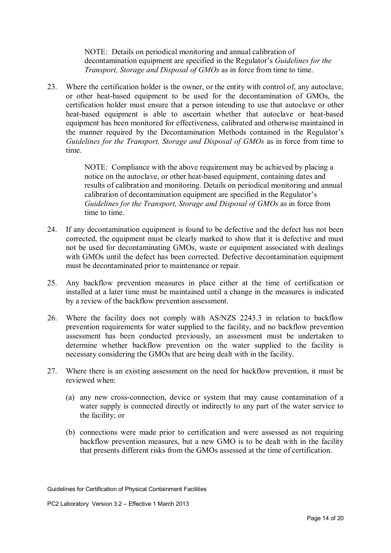NOTE: Details on periodical monitoring and annual calibration of decontamination equipment are specified in the Regulator's *Guidelines for the Transport, Storage and Disposal of GMOs* as in force from time to time.

23. Where the certification holder is the owner, or the entity with control of, any autoclave, or other heat-based equipment to be used for the decontamination of GMOs, the certification holder must ensure that a person intending to use that autoclave or other heat-based equipment is able to ascertain whether that autoclave or heat-based equipment has been monitored for effectiveness, calibrated and otherwise maintained in the manner required by the Decontamination Methods contained in the Regulator's *Guidelines for the Transport, Storage and Disposal of GMOs* as in force from time to time.

> NOTE: Compliance with the above requirement may be achieved by placing a notice on the autoclave, or other heat-based equipment, containing dates and results of calibration and monitoring. Details on periodical monitoring and annual calibration of decontamination equipment are specified in the Regulator's *Guidelines for the Transport, Storage and Disposal of GMOs* as in force from time to time.

- 24. If any decontamination equipment is found to be defective and the defect has not been corrected, the equipment must be clearly marked to show that it is defective and must not be used for decontaminating GMOs, waste or equipment associated with dealings with GMOs until the defect has been corrected. Defective decontamination equipment must be decontaminated prior to maintenance or repair.
- 25. Any backflow prevention measures in place either at the time of certification or installed at a later time must be maintained until a change in the measures is indicated by a review of the backflow prevention assessment.
- 26. Where the facility does not comply with AS/NZS 2243.3 in relation to backflow prevention requirements for water supplied to the facility, and no backflow prevention assessment has been conducted previously, an assessment must be undertaken to determine whether backflow prevention on the water supplied to the facility is necessary considering the GMOs that are being dealt with in the facility.
- 27. Where there is an existing assessment on the need for backflow prevention, it must be reviewed when:
	- (a) any new cross-connection, device or system that may cause contamination of a water supply is connected directly or indirectly to any part of the water service to the facility; or
	- (b) connections were made prior to certification and were assessed as not requiring backflow prevention measures, but a new GMO is to be dealt with in the facility that presents different risks from the GMOs assessed at the time of certification.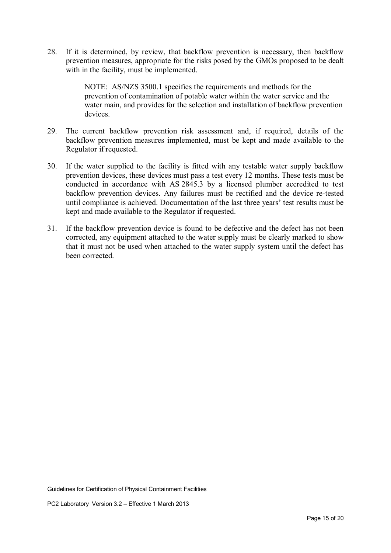28. If it is determined, by review, that backflow prevention is necessary, then backflow prevention measures, appropriate for the risks posed by the GMOs proposed to be dealt with in the facility, must be implemented.

> NOTE: AS/NZS 3500.1 specifies the requirements and methods for the prevention of contamination of potable water within the water service and the water main, and provides for the selection and installation of backflow prevention devices.

- 29. The current backflow prevention risk assessment and, if required, details of the backflow prevention measures implemented, must be kept and made available to the Regulator if requested.
- 30. If the water supplied to the facility is fitted with any testable water supply backflow prevention devices, these devices must pass a test every 12 months. These tests must be conducted in accordance with AS 2845.3 by a licensed plumber accredited to test backflow prevention devices. Any failures must be rectified and the device re-tested until compliance is achieved. Documentation of the last three years' test results must be kept and made available to the Regulator if requested.
- 31. If the backflow prevention device is found to be defective and the defect has not been corrected, any equipment attached to the water supply must be clearly marked to show that it must not be used when attached to the water supply system until the defect has been corrected.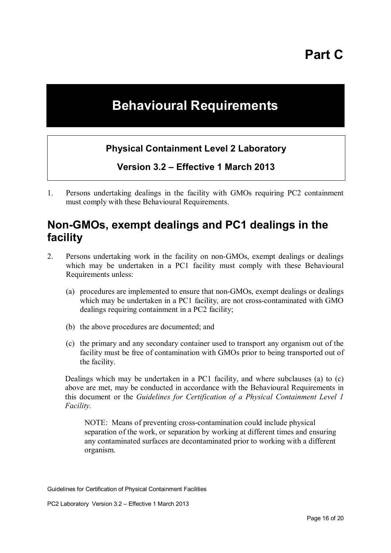## **Behavioural Requirements**

#### **Physical Containment Level 2 Laboratory**

**Version 3.2 – Effective 1 March 2013** 

1. Persons undertaking dealings in the facility with GMOs requiring PC2 containment must comply with these Behavioural Requirements.

### **Non-GMOs, exempt dealings and PC1 dealings in the facility**

- 2. Persons undertaking work in the facility on non-GMOs, exempt dealings or dealings which may be undertaken in a PC1 facility must comply with these Behavioural Requirements unless:
	- (a) procedures are implemented to ensure that non-GMOs, exempt dealings or dealings which may be undertaken in a PC1 facility, are not cross-contaminated with GMO dealings requiring containment in a PC2 facility;
	- (b) the above procedures are documented; and
	- (c) the primary and any secondary container used to transport any organism out of the facility must be free of contamination with GMOs prior to being transported out of the facility.

Dealings which may be undertaken in a PC1 facility, and where subclauses (a) to (c) above are met, may be conducted in accordance with the Behavioural Requirements in this document or the *Guidelines for Certification of a Physical Containment Level 1 Facility.*

NOTE: Means of preventing cross-contamination could include physical separation of the work, or separation by working at different times and ensuring any contaminated surfaces are decontaminated prior to working with a different organism.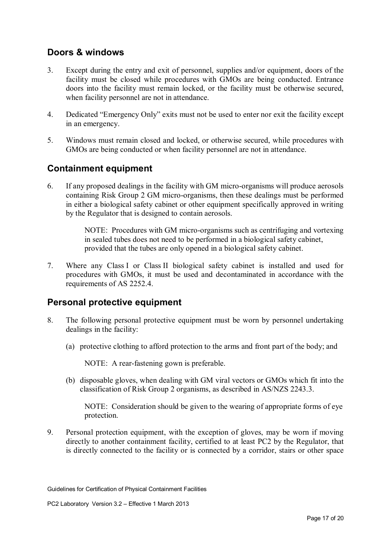#### **Doors & windows**

- 3. Except during the entry and exit of personnel, supplies and/or equipment, doors of the facility must be closed while procedures with GMOs are being conducted. Entrance doors into the facility must remain locked, or the facility must be otherwise secured, when facility personnel are not in attendance.
- 4. Dedicated "Emergency Only" exits must not be used to enter nor exit the facility except in an emergency.
- 5. Windows must remain closed and locked, or otherwise secured, while procedures with GMOs are being conducted or when facility personnel are not in attendance.

#### **Containment equipment**

6. If any proposed dealings in the facility with GM micro-organisms will produce aerosols containing Risk Group 2 GM micro-organisms, then these dealings must be performed in either a biological safety cabinet or other equipment specifically approved in writing by the Regulator that is designed to contain aerosols.

> NOTE: Procedures with GM micro-organisms such as centrifuging and vortexing in sealed tubes does not need to be performed in a biological safety cabinet, provided that the tubes are only opened in a biological safety cabinet.

7. Where any Class I or Class II biological safety cabinet is installed and used for procedures with GMOs, it must be used and decontaminated in accordance with the requirements of AS 2252.4.

#### **Personal protective equipment**

- 8. The following personal protective equipment must be worn by personnel undertaking dealings in the facility:
	- (a) protective clothing to afford protection to the arms and front part of the body; and

NOTE: A rear-fastening gown is preferable.

(b) disposable gloves, when dealing with GM viral vectors or GMOs which fit into the classification of Risk Group 2 organisms, as described in AS/NZS 2243.3.

NOTE: Consideration should be given to the wearing of appropriate forms of eye protection.

9. Personal protection equipment, with the exception of gloves, may be worn if moving directly to another containment facility, certified to at least PC2 by the Regulator, that is directly connected to the facility or is connected by a corridor, stairs or other space

Guidelines for Certification of Physical Containment Facilities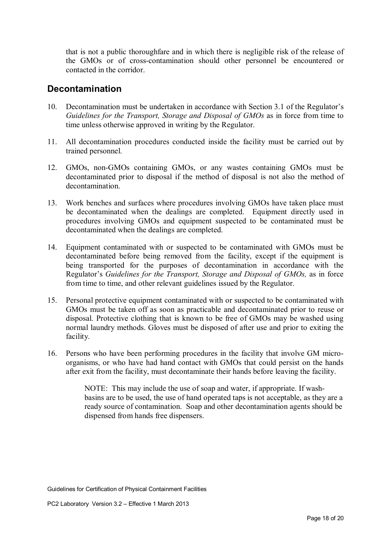that is not a public thoroughfare and in which there is negligible risk of the release of the GMOs or of cross-contamination should other personnel be encountered or contacted in the corridor.

#### **Decontamination**

- 10. Decontamination must be undertaken in accordance with Section 3.1 of the Regulator's *Guidelines for the Transport, Storage and Disposal of GMOs* as in force from time to time unless otherwise approved in writing by the Regulator.
- 11. All decontamination procedures conducted inside the facility must be carried out by trained personnel.
- 12. GMOs, non-GMOs containing GMOs, or any wastes containing GMOs must be decontaminated prior to disposal if the method of disposal is not also the method of decontamination.
- 13. Work benches and surfaces where procedures involving GMOs have taken place must be decontaminated when the dealings are completed. Equipment directly used in procedures involving GMOs and equipment suspected to be contaminated must be decontaminated when the dealings are completed.
- 14. Equipment contaminated with or suspected to be contaminated with GMOs must be decontaminated before being removed from the facility, except if the equipment is being transported for the purposes of decontamination in accordance with the Regulator's *Guidelines for the Transport, Storage and Disposal of GMOs,* as in force from time to time, and other relevant guidelines issued by the Regulator.
- 15. Personal protective equipment contaminated with or suspected to be contaminated with GMOs must be taken off as soon as practicable and decontaminated prior to reuse or disposal. Protective clothing that is known to be free of GMOs may be washed using normal laundry methods. Gloves must be disposed of after use and prior to exiting the facility.
- 16. Persons who have been performing procedures in the facility that involve GM microorganisms, or who have had hand contact with GMOs that could persist on the hands after exit from the facility, must decontaminate their hands before leaving the facility.

NOTE: This may include the use of soap and water, if appropriate. If washbasins are to be used, the use of hand operated taps is not acceptable, as they are a ready source of contamination. Soap and other decontamination agents should be dispensed from hands free dispensers.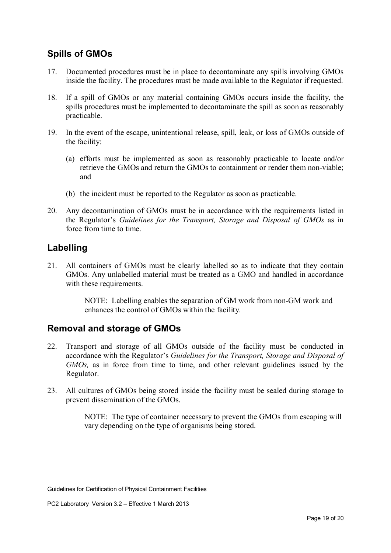#### **Spills of GMOs**

- 17. Documented procedures must be in place to decontaminate any spills involving GMOs inside the facility. The procedures must be made available to the Regulator if requested.
- 18. If a spill of GMOs or any material containing GMOs occurs inside the facility, the spills procedures must be implemented to decontaminate the spill as soon as reasonably practicable.
- 19. In the event of the escape, unintentional release, spill, leak, or loss of GMOs outside of the facility:
	- (a) efforts must be implemented as soon as reasonably practicable to locate and/or retrieve the GMOs and return the GMOs to containment or render them non-viable; and
	- (b) the incident must be reported to the Regulator as soon as practicable.
- 20. Any decontamination of GMOs must be in accordance with the requirements listed in the Regulator's *Guidelines for the Transport, Storage and Disposal of GMOs* as in force from time to time.

#### **Labelling**

21. All containers of GMOs must be clearly labelled so as to indicate that they contain GMOs. Any unlabelled material must be treated as a GMO and handled in accordance with these requirements.

> NOTE: Labelling enables the separation of GM work from non-GM work and enhances the control of GMOs within the facility.

#### **Removal and storage of GMOs**

- 22. Transport and storage of all GMOs outside of the facility must be conducted in accordance with the Regulator's *Guidelines for the Transport, Storage and Disposal of GMOs,* as in force from time to time, and other relevant guidelines issued by the Regulator.
- 23. All cultures of GMOs being stored inside the facility must be sealed during storage to prevent dissemination of the GMOs.

NOTE: The type of container necessary to prevent the GMOs from escaping will vary depending on the type of organisms being stored.

Guidelines for Certification of Physical Containment Facilities